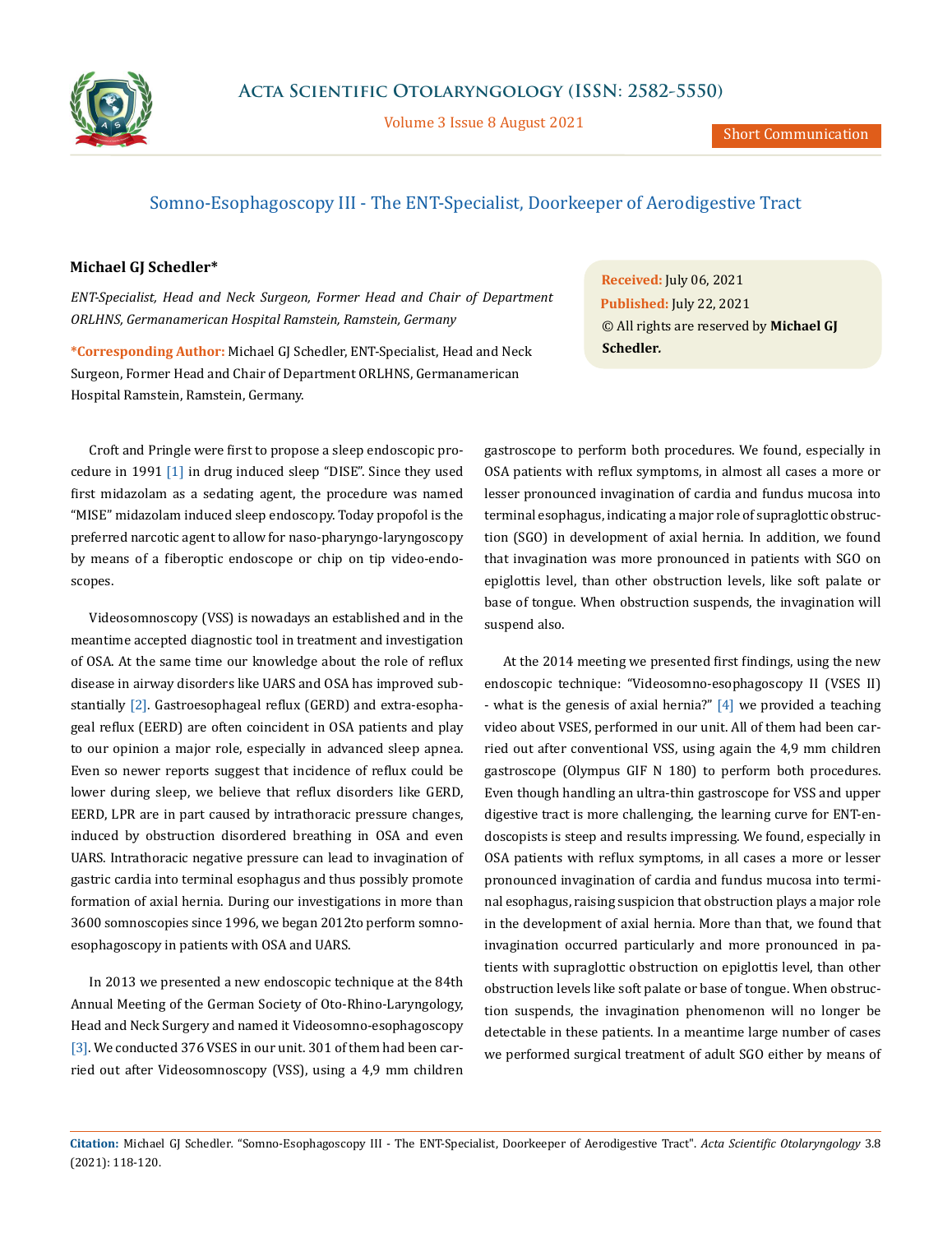

Volume 3 Issue 8 August 2021

# Somno-Esophagoscopy III - The ENT-Specialist, Doorkeeper of Aerodigestive Tract

## **Michael GJ Schedler\***

*ENT-Specialist, Head and Neck Surgeon, Former Head and Chair of Department ORLHNS, Germanamerican Hospital Ramstein, Ramstein, Germany*

**\*Corresponding Author:** Michael GJ Schedler, ENT-Specialist, Head and Neck Surgeon, Former Head and Chair of Department ORLHNS, Germanamerican Hospital Ramstein, Ramstein, Germany.

Croft and Pringle were first to propose a sleep endoscopic procedure in 1991 [1] in drug induced sleep "DISE". Since they used first midazolam as a sedating agent, the procedure was named "MISE" midazolam induced sleep endoscopy. Today propofol is the preferred narcotic agent to allow for naso-pharyngo-laryngoscopy by means of a fiberoptic endoscope or chip on tip video-endoscopes.

Videosomnoscopy (VSS) is nowadays an established and in the meantime accepted diagnostic tool in treatment and investigation of OSA. At the same time our knowledge about the role of reflux disease in airway disorders like UARS and OSA has improved substantially [2]. Gastroesophageal reflux (GERD) and extra-esophageal reflux (EERD) are often coincident in OSA patients and play to our opinion a major role, especially in advanced sleep apnea. Even so newer reports suggest that incidence of reflux could be lower during sleep, we believe that reflux disorders like GERD, EERD, LPR are in part caused by intrathoracic pressure changes, induced by obstruction disordered breathing in OSA and even UARS. Intrathoracic negative pressure can lead to invagination of gastric cardia into terminal esophagus and thus possibly promote formation of axial hernia. During our investigations in more than 3600 somnoscopies since 1996, we began 2012to perform somnoesophagoscopy in patients with OSA and UARS.

In 2013 we presented a new endoscopic technique at the 84th Annual Meeting of the German Society of Oto-Rhino-Laryngology, Head and Neck Surgery and named it Videosomno-esophagoscopy [3]. We conducted 376 VSES in our unit. 301 of them had been carried out after Videosomnoscopy (VSS), using a 4,9 mm children

**Received:** July 06, 2021 **Published:** July 22, 2021 © All rights are reserved by **Michael GJ Schedler***.*

gastroscope to perform both procedures. We found, especially in OSA patients with reflux symptoms, in almost all cases a more or lesser pronounced invagination of cardia and fundus mucosa into terminal esophagus, indicating a major role of supraglottic obstruction (SGO) in development of axial hernia. In addition, we found that invagination was more pronounced in patients with SGO on epiglottis level, than other obstruction levels, like soft palate or base of tongue. When obstruction suspends, the invagination will suspend also.

At the 2014 meeting we presented first findings, using the new endoscopic technique: "Videosomno-esophagoscopy II (VSES II) - what is the genesis of axial hernia?" [4] we provided a teaching video about VSES, performed in our unit. All of them had been carried out after conventional VSS, using again the 4,9 mm children gastroscope (Olympus GIF N 180) to perform both procedures. Even though handling an ultra-thin gastroscope for VSS and upper digestive tract is more challenging, the learning curve for ENT-endoscopists is steep and results impressing. We found, especially in OSA patients with reflux symptoms, in all cases a more or lesser pronounced invagination of cardia and fundus mucosa into terminal esophagus, raising suspicion that obstruction plays a major role in the development of axial hernia. More than that, we found that invagination occurred particularly and more pronounced in patients with supraglottic obstruction on epiglottis level, than other obstruction levels like soft palate or base of tongue. When obstruction suspends, the invagination phenomenon will no longer be detectable in these patients. In a meantime large number of cases we performed surgical treatment of adult SGO either by means of

**Citation:** Michael GJ Schedler*.* "Somno-Esophagoscopy III - The ENT-Specialist, Doorkeeper of Aerodigestive Tract". *Acta Scientific Otolaryngology* 3.8 (2021): 118-120.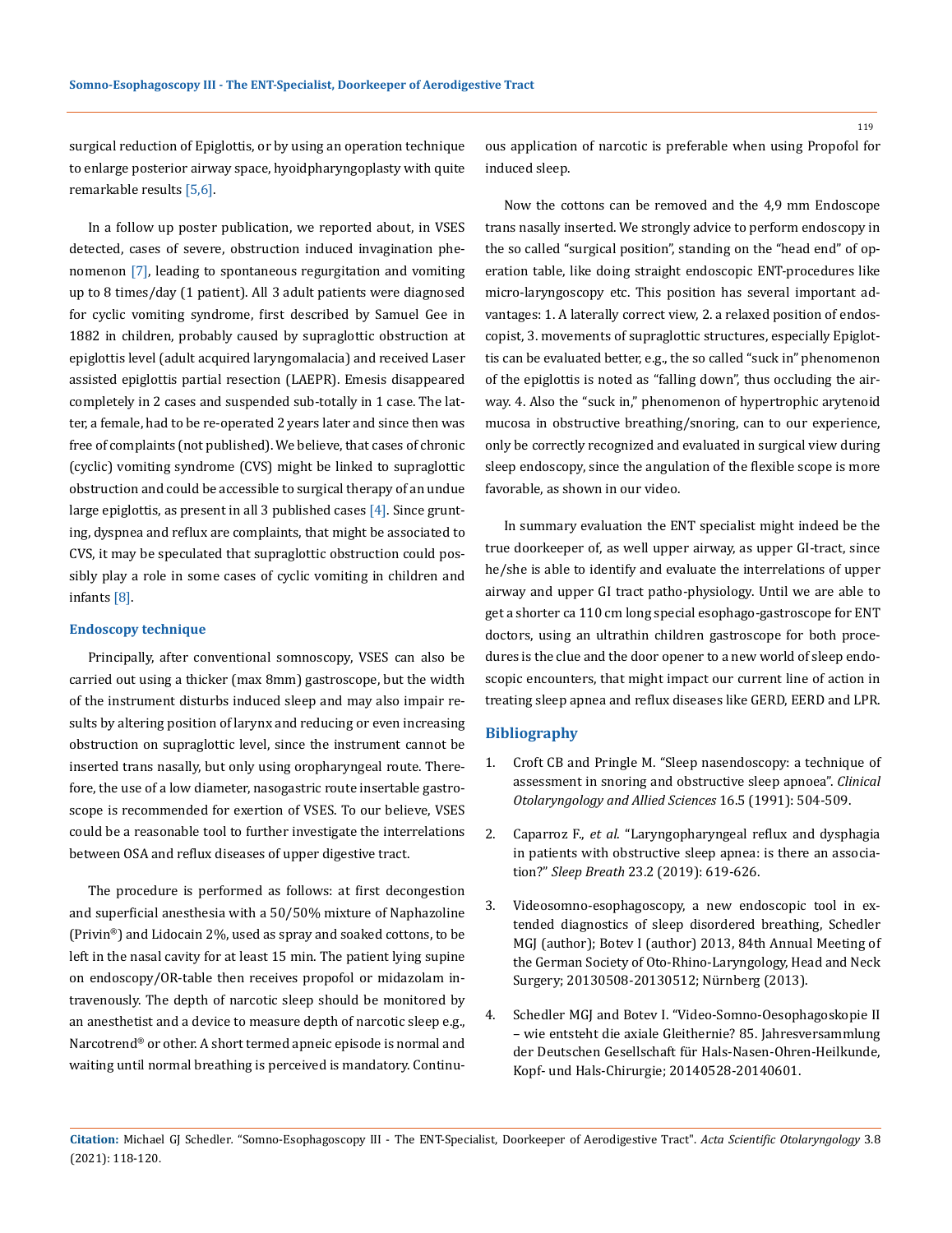surgical reduction of Epiglottis, or by using an operation technique to enlarge posterior airway space, hyoidpharyngoplasty with quite remarkable results [5,6].

In a follow up poster publication, we reported about, in VSES detected, cases of severe, obstruction induced invagination phenomenon [7], leading to spontaneous regurgitation and vomiting up to 8 times/day (1 patient). All 3 adult patients were diagnosed for cyclic vomiting syndrome, first described by Samuel Gee in 1882 in children, probably caused by supraglottic obstruction at epiglottis level (adult acquired laryngomalacia) and received Laser assisted epiglottis partial resection (LAEPR). Emesis disappeared completely in 2 cases and suspended sub-totally in 1 case. The latter, a female, had to be re-operated 2 years later and since then was free of complaints (not published). We believe, that cases of chronic (cyclic) vomiting syndrome (CVS) might be linked to supraglottic obstruction and could be accessible to surgical therapy of an undue large epiglottis, as present in all 3 published cases  $[4]$ . Since grunting, dyspnea and reflux are complaints, that might be associated to CVS, it may be speculated that supraglottic obstruction could possibly play a role in some cases of cyclic vomiting in children and infants [8].

#### **Endoscopy technique**

Principally, after conventional somnoscopy, VSES can also be carried out using a thicker (max 8mm) gastroscope, but the width of the instrument disturbs induced sleep and may also impair results by altering position of larynx and reducing or even increasing obstruction on supraglottic level, since the instrument cannot be inserted trans nasally, but only using oropharyngeal route. Therefore, the use of a low diameter, nasogastric route insertable gastroscope is recommended for exertion of VSES. To our believe, VSES could be a reasonable tool to further investigate the interrelations between OSA and reflux diseases of upper digestive tract.

The procedure is performed as follows: at first decongestion and superficial anesthesia with a 50/50% mixture of Naphazoline (Privin®) and Lidocain 2%, used as spray and soaked cottons, to be left in the nasal cavity for at least 15 min. The patient lying supine on endoscopy/OR-table then receives propofol or midazolam intravenously. The depth of narcotic sleep should be monitored by an anesthetist and a device to measure depth of narcotic sleep e.g., Narcotrend® or other. A short termed apneic episode is normal and waiting until normal breathing is perceived is mandatory. Continuous application of narcotic is preferable when using Propofol for induced sleep.

Now the cottons can be removed and the 4,9 mm Endoscope trans nasally inserted. We strongly advice to perform endoscopy in the so called "surgical position", standing on the "head end" of operation table, like doing straight endoscopic ENT-procedures like micro-laryngoscopy etc. This position has several important advantages: 1. A laterally correct view, 2. a relaxed position of endoscopist, 3. movements of supraglottic structures, especially Epiglottis can be evaluated better, e.g., the so called "suck in" phenomenon of the epiglottis is noted as "falling down", thus occluding the airway. 4. Also the "suck in," phenomenon of hypertrophic arytenoid mucosa in obstructive breathing/snoring, can to our experience, only be correctly recognized and evaluated in surgical view during sleep endoscopy, since the angulation of the flexible scope is more favorable, as shown in our video.

In summary evaluation the ENT specialist might indeed be the true doorkeeper of, as well upper airway, as upper GI-tract, since he/she is able to identify and evaluate the interrelations of upper airway and upper GI tract patho-physiology. Until we are able to get a shorter ca 110 cm long special esophago-gastroscope for ENT doctors, using an ultrathin children gastroscope for both procedures is the clue and the door opener to a new world of sleep endoscopic encounters, that might impact our current line of action in treating sleep apnea and reflux diseases like GERD, EERD and LPR.

### **Bibliography**

- 1. [Croft CB and Pringle M. "Sleep nasendoscopy: a technique of](https://pubmed.ncbi.nlm.nih.gov/1742903/)  [assessment in snoring and obstructive sleep apnoea".](https://pubmed.ncbi.nlm.nih.gov/1742903/) *Clinical [Otolaryngology and Allied Sciences](https://pubmed.ncbi.nlm.nih.gov/1742903/)* 16.5 (1991): 504-509.
- 2. Caparroz F., *et al*[. "Laryngopharyngeal reflux and dysphagia](http://website60s.com/upload/files/sleep-and-breathing-v23-iss-2-a31.pdf)  [in patients with obstructive sleep apnea: is there an associa](http://website60s.com/upload/files/sleep-and-breathing-v23-iss-2-a31.pdf)tion?" *Sleep Breath* [23.2 \(2019\): 619-626.](http://website60s.com/upload/files/sleep-and-breathing-v23-iss-2-a31.pdf)
- 3. Videosomno-esophagoscopy, a new endoscopic tool in extended diagnostics of sleep disordered breathing, Schedler MGJ (author); Botev I (author) 2013, 84th Annual Meeting of the German Society of Oto-Rhino-Laryngology, Head and Neck Surgery; 20130508-20130512; Nürnberg (2013).
- 4. Schedler MGJ and Botev I. "Video-Somno-Oesophagoskopie II – wie entsteht die axiale Gleithernie? 85. Jahresversammlung der Deutschen Gesellschaft für Hals-Nasen-Ohren-Heilkunde, Kopf- und Hals-Chirurgie; 20140528-20140601.

119

**Citation:** Michael GJ Schedler*.* "Somno-Esophagoscopy III - The ENT-Specialist, Doorkeeper of Aerodigestive Tract". *Acta Scientific Otolaryngology* 3.8 (2021): 118-120.